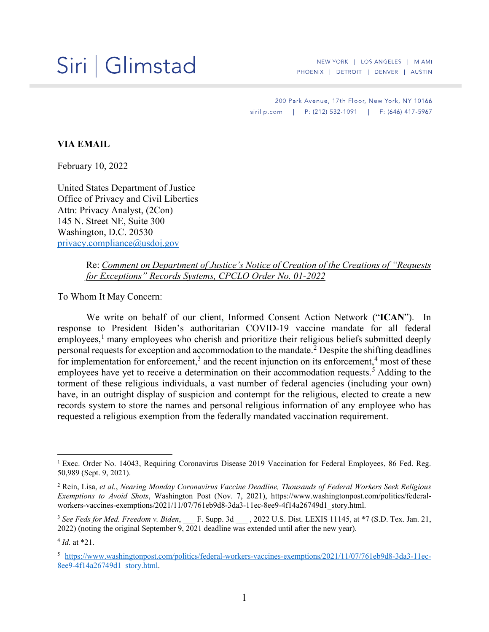## Siri | Glimstad

NEW YORK | LOS ANGELES | MIAMI PHOENIX | DETROIT | DENVER | AUSTIN

200 Park Avenue, 17th Floor, New York, NY 10166 sirillp.com | P: (212) 532-1091 | F: (646) 417-5967

## **VIA EMAIL**

February 10, 2022

United States Department of Justice Office of Privacy and Civil Liberties Attn: Privacy Analyst, (2Con) 145 N. Street NE, Suite 300 Washington, D.C. 20530 privacy.compliance@usdoj.gov

> Re: *Comment on Department of Justice's Notice of Creation of the Creations of "Requests for Exceptions" Records Systems, CPCLO Order No. 01-2022*

To Whom It May Concern:

We write on behalf of our client, Informed Consent Action Network ("**ICAN**"). In response to President Biden's authoritarian COVID-19 vaccine mandate for all federal  $emploves<sub>1</sub>$ <sup>1</sup> many employees who cherish and prioritize their religious beliefs submitted deeply personal requests for exception and accommodation to the mandate. <sup>2</sup> Despite the shifting deadlines for implementation for enforcement,<sup>3</sup> and the recent injunction on its enforcement,<sup>4</sup> most of these employees have yet to receive a determination on their accommodation requests.<sup>5</sup> Adding to the torment of these religious individuals, a vast number of federal agencies (including your own) have, in an outright display of suspicion and contempt for the religious, elected to create a new records system to store the names and personal religious information of any employee who has requested a religious exemption from the federally mandated vaccination requirement.

<sup>&</sup>lt;sup>1</sup> Exec. Order No. 14043, Requiring Coronavirus Disease 2019 Vaccination for Federal Employees, 86 Fed. Reg. 50,989 (Sept. 9, 2021).

<sup>2</sup> Rein, Lisa, *et al.*, *Nearing Monday Coronavirus Vaccine Deadline, Thousands of Federal Workers Seek Religious Exemptions to Avoid Shots*, Washington Post (Nov. 7, 2021), https://www.washingtonpost.com/politics/federalworkers-vaccines-exemptions/2021/11/07/761eb9d8-3da3-11ec-8ee9-4f14a26749d1\_story.html.

<sup>&</sup>lt;sup>3</sup> See Feds for Med. Freedom v. Biden, \_\_\_ F. Supp. 3d \_\_\_, 2022 U.S. Dist. LEXIS 11145, at \*7 (S.D. Tex. Jan. 21, 2022) (noting the original September  $9, 2021$  deadline was extended until after the new year).

 $4$  *Id.* at  $*21$ .

<sup>5</sup> https://www.washingtonpost.com/politics/federal-workers-vaccines-exemptions/2021/11/07/761eb9d8-3da3-11ec-8ee9-4f14a26749d1 story.html.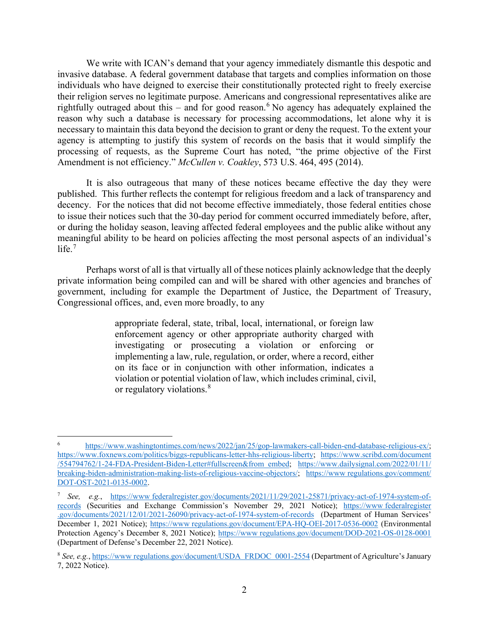We write with ICAN's demand that your agency immediately dismantle this despotic and invasive database. A federal government database that targets and complies information on those individuals who have deigned to exercise their constitutionally protected right to freely exercise their religion serves no legitimate purpose. Americans and congressional representatives alike are rightfully outraged about this – and for good reason. <sup>6</sup> No agency has adequately explained the reason why such a database is necessary for processing accommodations, let alone why it is necessary to maintain this data beyond the decision to grant or deny the request. To the extent your agency is attempting to justify this system of records on the basis that it would simplify the processing of requests, as the Supreme Court has noted, "the prime objective of the First Amendment is not efficiency." *McCullen v. Coakley*, 573 U.S. 464, 495 (2014).

It is also outrageous that many of these notices became effective the day they were published. This further reflects the contempt for religious freedom and a lack of transparency and decency. For the notices that did not become effective immediately, those federal entities chose to issue their notices such that the 30-day period for comment occurred immediately before, after, or during the holiday season, leaving affected federal employees and the public alike without any meaningful ability to be heard on policies affecting the most personal aspects of an individual's life. 7

Perhaps worst of all is that virtually all of these notices plainly acknowledge that the deeply private information being compiled can and will be shared with other agencies and branches of government, including for example the Department of Justice, the Department of Treasury, Congressional offices, and, even more broadly, to any

> appropriate federal, state, tribal, local, international, or foreign law enforcement agency or other appropriate authority charged with investigating or prosecuting a violation or enforcing or implementing a law, rule, regulation, or order, where a record, either on its face or in conjunction with other information, indicates a violation or potential violation of law, which includes criminal, civil, or regulatory violations.<sup>8</sup>

https://www.washingtontimes.com/news/2022/jan/25/gop-lawmakers-call-biden-end-database-religious-ex/; https://www.foxnews.com/politics/biggs-republicans-letter-hhs-religious-liberty; https://www.scribd.com/document /554794762/1-24-FDA-President-Biden-Letter#fullscreen&from embed; https://www.dailysignal.com/2022/01/11/ breaking-biden-administration-making-lists-of-religious-vaccine-objectors/; https://www regulations.gov/comment/ DOT-OST-2021-0135-0002.

<sup>7</sup> *See, e.g.*, https://www federalregister.gov/documents/2021/11/29/2021-25871/privacy-act-of-1974-system-ofrecords (Securities and Exchange Commission's November 29, 2021 Notice); https://www federalregister .gov/documents/2021/12/01/2021-26090/privacy-act-of-1974-system-of-records (Department of Human Services' December 1, 2021 Notice); https://www regulations.gov/document/EPA-HQ-OEI-2017-0536-0002 (Environmental Protection Agency's December 8, 2021 Notice); https://www regulations.gov/document/DOD-2021-OS-0128-0001 (Department of Defense's December 22, 2021 Notice).

<sup>8</sup> *See, e.g.*, https://www regulations.gov/document/USDA FRDOC 0001-2554 (Department of Agriculture's January 7, 2022 Notice).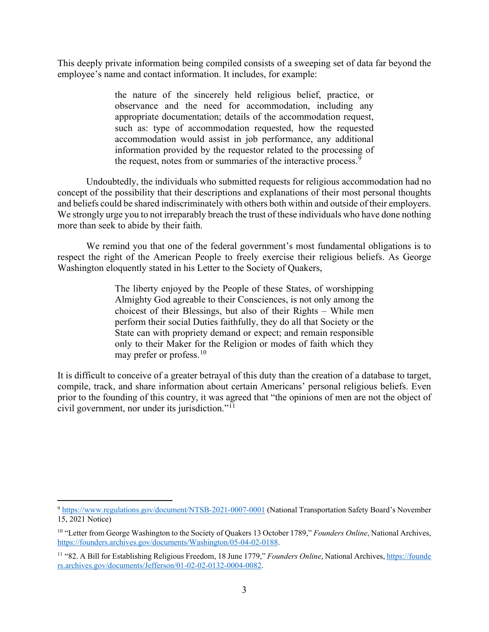This deeply private information being compiled consists of a sweeping set of data far beyond the employee's name and contact information. It includes, for example:

> the nature of the sincerely held religious belief, practice, or observance and the need for accommodation, including any appropriate documentation; details of the accommodation request, such as: type of accommodation requested, how the requested accommodation would assist in job performance, any additional information provided by the requestor related to the processing of the request, notes from or summaries of the interactive process.<sup>9</sup>

Undoubtedly, the individuals who submitted requests for religious accommodation had no concept of the possibility that their descriptions and explanations of their most personal thoughts and beliefs could be shared indiscriminately with others both within and outside of their employers. We strongly urge you to not irreparably breach the trust of these individuals who have done nothing more than seek to abide by their faith.

We remind you that one of the federal government's most fundamental obligations is to respect the right of the American People to freely exercise their religious beliefs. As George Washington eloquently stated in his Letter to the Society of Quakers,

> The liberty enjoyed by the People of these States, of worshipping Almighty God agreable to their Consciences, is not only among the choicest of their Blessings, but also of their Rights – While men perform their social Duties faithfully, they do all that Society or the State can with propriety demand or expect; and remain responsible only to their Maker for the Religion or modes of faith which they may prefer or profess.  $10$

It is difficult to conceive of a greater betrayal of this duty than the creation of a database to target, compile, track, and share information about certain Americans' personal religious beliefs. Even prior to the founding of this country, it was agreed that "the opinions of men are not the object of civil government, nor under its jurisdiction."<sup>11</sup>

<sup>9</sup> https://www.regulations.gov/document/NTSB-2021-0007-0001 (National Transportation Safety Board's November 15, 2021 Notice)

<sup>10 &</sup>quot;Letter from George Washington to the Society of Quakers 13 October 1789," *Founders Online*, National Archives, https://founders.archives.gov/documents/Washington/05-04-02-0188.

<sup>&</sup>lt;sup>11</sup> "82. A Bill for Establishing Religious Freedom, 18 June 1779," *Founders Online*, National Archives, https://founde rs.archives.gov/documents/Jefferson/01-02-02-0132-0004-0082.